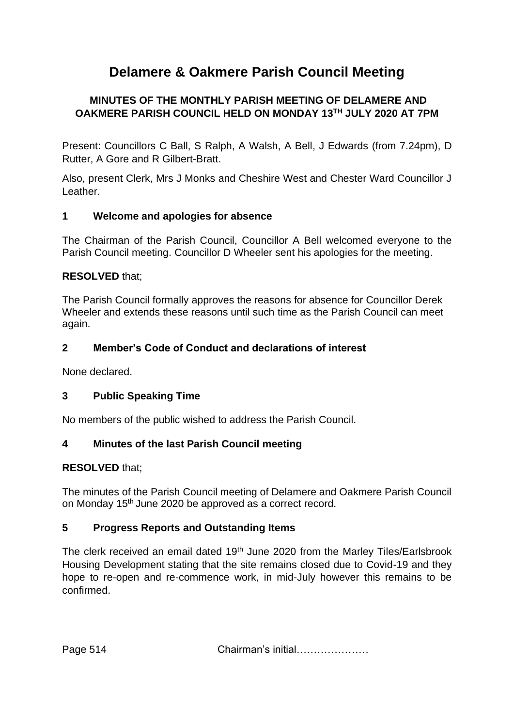# **Delamere & Oakmere Parish Council Meeting**

# **MINUTES OF THE MONTHLY PARISH MEETING OF DELAMERE AND OAKMERE PARISH COUNCIL HELD ON MONDAY 13TH JULY 2020 AT 7PM**

Present: Councillors C Ball, S Ralph, A Walsh, A Bell, J Edwards (from 7.24pm), D Rutter, A Gore and R Gilbert-Bratt.

Also, present Clerk, Mrs J Monks and Cheshire West and Chester Ward Councillor J Leather.

## **1 Welcome and apologies for absence**

The Chairman of the Parish Council, Councillor A Bell welcomed everyone to the Parish Council meeting. Councillor D Wheeler sent his apologies for the meeting.

## **RESOLVED** that;

The Parish Council formally approves the reasons for absence for Councillor Derek Wheeler and extends these reasons until such time as the Parish Council can meet again.

## **2 Member's Code of Conduct and declarations of interest**

None declared.

#### **3 Public Speaking Time**

No members of the public wished to address the Parish Council.

#### **4 Minutes of the last Parish Council meeting**

#### **RESOLVED** that;

The minutes of the Parish Council meeting of Delamere and Oakmere Parish Council on Monday 15th June 2020 be approved as a correct record.

#### **5 Progress Reports and Outstanding Items**

The clerk received an email dated 19<sup>th</sup> June 2020 from the Marley Tiles/Earlsbrook Housing Development stating that the site remains closed due to Covid-19 and they hope to re-open and re-commence work, in mid-July however this remains to be confirmed.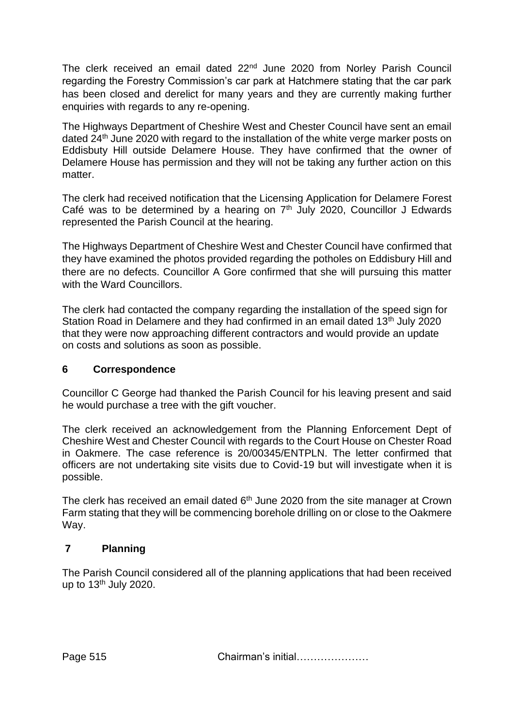The clerk received an email dated 22<sup>nd</sup> June 2020 from Norley Parish Council regarding the Forestry Commission's car park at Hatchmere stating that the car park has been closed and derelict for many years and they are currently making further enquiries with regards to any re-opening.

The Highways Department of Cheshire West and Chester Council have sent an email dated 24<sup>th</sup> June 2020 with regard to the installation of the white verge marker posts on Eddisbuty Hill outside Delamere House. They have confirmed that the owner of Delamere House has permission and they will not be taking any further action on this matter.

The clerk had received notification that the Licensing Application for Delamere Forest Café was to be determined by a hearing on  $7<sup>th</sup>$  July 2020, Councillor J Edwards represented the Parish Council at the hearing.

The Highways Department of Cheshire West and Chester Council have confirmed that they have examined the photos provided regarding the potholes on Eddisbury Hill and there are no defects. Councillor A Gore confirmed that she will pursuing this matter with the Ward Councillors.

The clerk had contacted the company regarding the installation of the speed sign for Station Road in Delamere and they had confirmed in an email dated 13<sup>th</sup> July 2020 that they were now approaching different contractors and would provide an update on costs and solutions as soon as possible.

#### **6 Correspondence**

Councillor C George had thanked the Parish Council for his leaving present and said he would purchase a tree with the gift voucher.

The clerk received an acknowledgement from the Planning Enforcement Dept of Cheshire West and Chester Council with regards to the Court House on Chester Road in Oakmere. The case reference is 20/00345/ENTPLN. The letter confirmed that officers are not undertaking site visits due to Covid-19 but will investigate when it is possible.

The clerk has received an email dated  $6<sup>th</sup>$  June 2020 from the site manager at Crown Farm stating that they will be commencing borehole drilling on or close to the Oakmere Way.

# **7 Planning**

The Parish Council considered all of the planning applications that had been received up to  $13<sup>th</sup>$  July 2020.

Page 515 **Chairman's initial………………**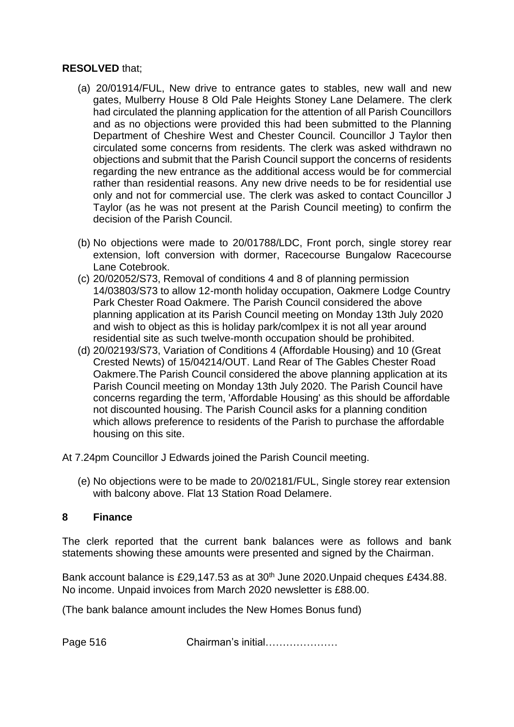#### **RESOLVED** that;

- (a) 20/01914/FUL, New drive to entrance gates to stables, new wall and new gates, Mulberry House 8 Old Pale Heights Stoney Lane Delamere. The clerk had circulated the planning application for the attention of all Parish Councillors and as no objections were provided this had been submitted to the Planning Department of Cheshire West and Chester Council. Councillor J Taylor then circulated some concerns from residents. The clerk was asked withdrawn no objections and submit that the Parish Council support the concerns of residents regarding the new entrance as the additional access would be for commercial rather than residential reasons. Any new drive needs to be for residential use only and not for commercial use. The clerk was asked to contact Councillor J Taylor (as he was not present at the Parish Council meeting) to confirm the decision of the Parish Council.
- (b) No objections were made to 20/01788/LDC, Front porch, single storey rear extension, loft conversion with dormer, Racecourse Bungalow Racecourse Lane Cotebrook.
- (c) 20/02052/S73, Removal of conditions 4 and 8 of planning permission 14/03803/S73 to allow 12-month holiday occupation, Oakmere Lodge Country Park Chester Road Oakmere. The Parish Council considered the above planning application at its Parish Council meeting on Monday 13th July 2020 and wish to object as this is holiday park/comlpex it is not all year around residential site as such twelve-month occupation should be prohibited.
- (d) 20/02193/S73, Variation of Conditions 4 (Affordable Housing) and 10 (Great Crested Newts) of 15/04214/OUT. Land Rear of The Gables Chester Road Oakmere.The Parish Council considered the above planning application at its Parish Council meeting on Monday 13th July 2020. The Parish Council have concerns regarding the term, 'Affordable Housing' as this should be affordable not discounted housing. The Parish Council asks for a planning condition which allows preference to residents of the Parish to purchase the affordable housing on this site.

At 7.24pm Councillor J Edwards joined the Parish Council meeting.

(e) No objections were to be made to 20/02181/FUL, Single storey rear extension with balcony above. Flat 13 Station Road Delamere.

#### **8 Finance**

The clerk reported that the current bank balances were as follows and bank statements showing these amounts were presented and signed by the Chairman.

Bank account balance is £29,147.53 as at 30<sup>th</sup> June 2020. Unpaid cheques £434.88. No income. Unpaid invoices from March 2020 newsletter is £88.00.

(The bank balance amount includes the New Homes Bonus fund)

Page 516 Chairman's initial…………………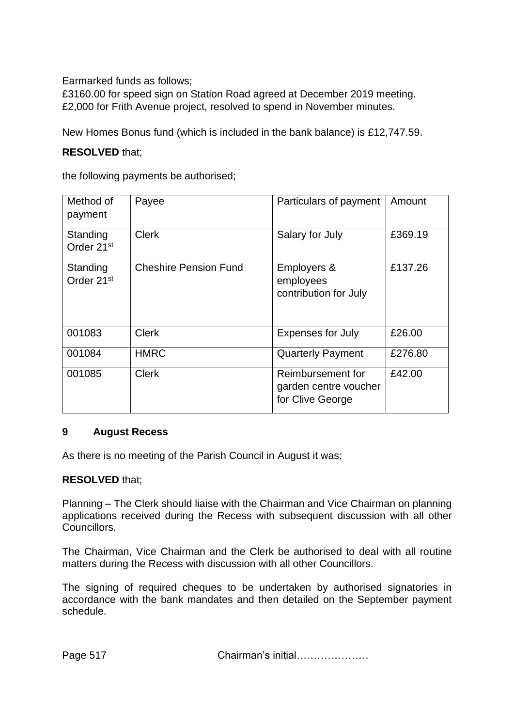Earmarked funds as follows;

£3160.00 for speed sign on Station Road agreed at December 2019 meeting. £2,000 for Frith Avenue project, resolved to spend in November minutes.

New Homes Bonus fund (which is included in the bank balance) is £12,747.59.

#### **RESOLVED** that;

the following payments be authorised;

| Method of<br>payment               | Payee                        | Particulars of payment                                         | Amount  |
|------------------------------------|------------------------------|----------------------------------------------------------------|---------|
| Standing<br>Order 21 <sup>st</sup> | <b>Clerk</b>                 | Salary for July                                                | £369.19 |
| Standing<br>Order 21 <sup>st</sup> | <b>Cheshire Pension Fund</b> | Employers &<br>employees<br>contribution for July              | £137.26 |
| 001083                             | <b>Clerk</b>                 | <b>Expenses for July</b>                                       | £26.00  |
| 001084                             | <b>HMRC</b>                  | <b>Quarterly Payment</b>                                       | £276.80 |
| 001085                             | <b>Clerk</b>                 | Reimbursement for<br>garden centre voucher<br>for Clive George | £42.00  |

#### **9 August Recess**

As there is no meeting of the Parish Council in August it was;

#### **RESOLVED** that;

Planning – The Clerk should liaise with the Chairman and Vice Chairman on planning applications received during the Recess with subsequent discussion with all other Councillors.

The Chairman, Vice Chairman and the Clerk be authorised to deal with all routine matters during the Recess with discussion with all other Councillors.

The signing of required cheques to be undertaken by authorised signatories in accordance with the bank mandates and then detailed on the September payment schedule.

Page 517 **Chairman's initial…………………**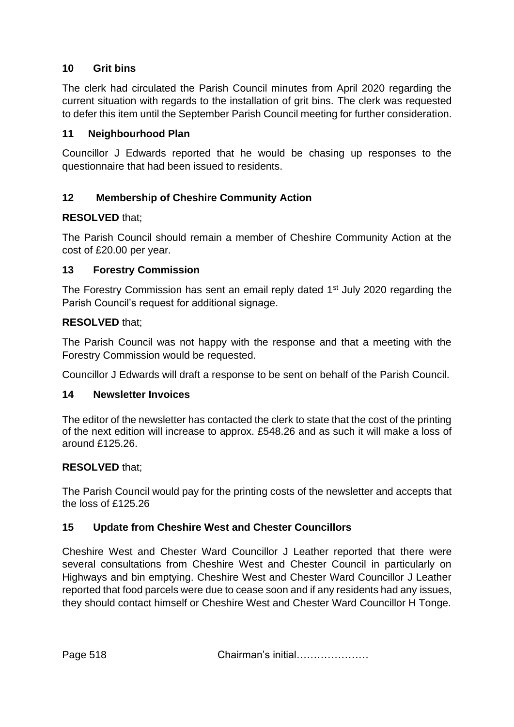## **10 Grit bins**

The clerk had circulated the Parish Council minutes from April 2020 regarding the current situation with regards to the installation of grit bins. The clerk was requested to defer this item until the September Parish Council meeting for further consideration.

#### **11 Neighbourhood Plan**

Councillor J Edwards reported that he would be chasing up responses to the questionnaire that had been issued to residents.

# **12 Membership of Cheshire Community Action**

## **RESOLVED** that;

The Parish Council should remain a member of Cheshire Community Action at the cost of £20.00 per year.

#### **13 Forestry Commission**

The Forestry Commission has sent an email reply dated 1<sup>st</sup> July 2020 regarding the Parish Council's request for additional signage.

#### **RESOLVED** that;

The Parish Council was not happy with the response and that a meeting with the Forestry Commission would be requested.

Councillor J Edwards will draft a response to be sent on behalf of the Parish Council.

#### **14 Newsletter Invoices**

The editor of the newsletter has contacted the clerk to state that the cost of the printing of the next edition will increase to approx. £548.26 and as such it will make a loss of around £125.26.

#### **RESOLVED** that;

The Parish Council would pay for the printing costs of the newsletter and accepts that the loss of £125.26

#### **15 Update from Cheshire West and Chester Councillors**

Cheshire West and Chester Ward Councillor J Leather reported that there were several consultations from Cheshire West and Chester Council in particularly on Highways and bin emptying. Cheshire West and Chester Ward Councillor J Leather reported that food parcels were due to cease soon and if any residents had any issues, they should contact himself or Cheshire West and Chester Ward Councillor H Tonge.

Page 518 Chairman's initial…………………